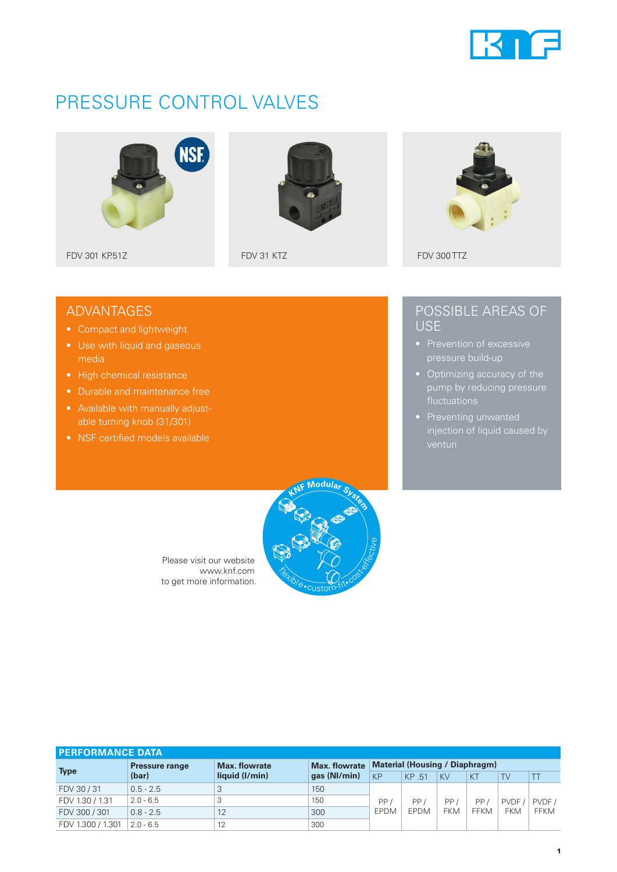

# PRESSURE CONTROL VALVES





### ADVANTAGES

- Compact and lightweight
- Use with liquid and gaseous media
- High chemical resistance
- Durable and maintenance free
- able turning knob (31/301)
- NSF certified models available

### POSSIBLE AREAS OF USE

- pressure build-up
- Optimizing accuracy of the pump by reducing pressure
- venturi



Please visit our website www.knf.com to get more information.

| <b>PERFORMANCE DATA</b> |                       |                |               |                                       |                    |            |             |                     |                      |
|-------------------------|-----------------------|----------------|---------------|---------------------------------------|--------------------|------------|-------------|---------------------|----------------------|
| <b>Type</b>             | <b>Pressure range</b> | Max. flowrate  | Max. flowrate | <b>Material (Housing / Diaphragm)</b> |                    |            |             |                     |                      |
|                         | (bar)                 | liquid (I/min) | gas (NI/min)  | KP                                    | KP 51              | <b>KV</b>  | KT          | TV                  |                      |
| FDV 30/31               | $0.5 - 2.5$           | 3              | 150           |                                       | PP/<br><b>EPDM</b> |            |             | PVDF.<br><b>FKM</b> | PVDF/<br><b>FFKM</b> |
| FDV 1.30 / 1.31         | $2.0 - 6.5$           |                | 150           | PP,                                   |                    | <b>PP</b>  | PP/<br>FFKM |                     |                      |
| FDV 300 / 301           | $0.8 - 2.5$           | 12             | 300           | EPDM                                  |                    | <b>FKM</b> |             |                     |                      |
| FDV 1.300 / 1.301       | $2.0 - 6.5$           | 12             | 300           |                                       |                    |            |             |                     |                      |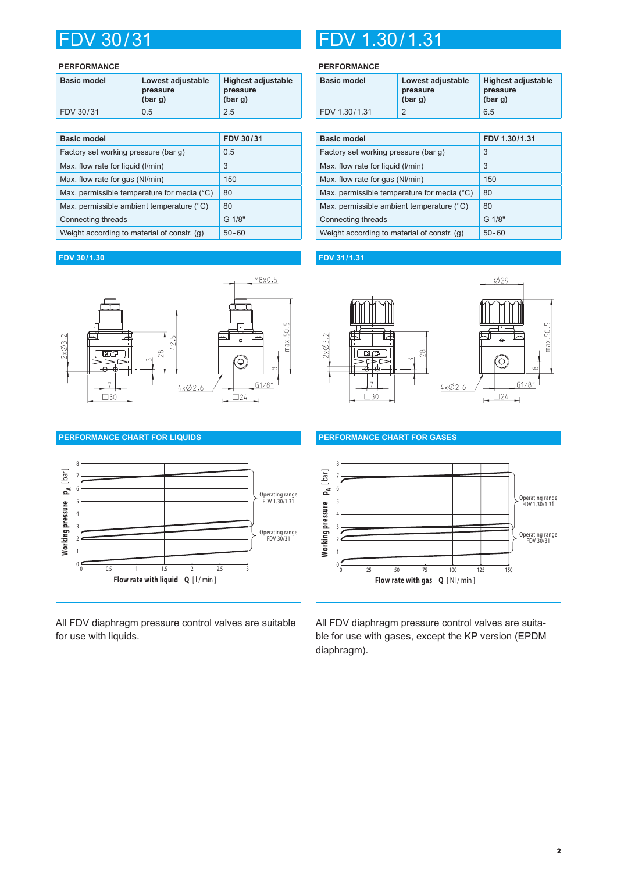#### **PERFORMANCE**

| <b>Basic model</b> | Lowest adjustable<br>pressure<br>(bar g) | <b>Highest adjustable</b><br>pressure<br>(bar g) |
|--------------------|------------------------------------------|--------------------------------------------------|
| FDV 30/31          | 0.5                                      | 2.5                                              |

| <b>Basic model</b>                          | FDV 30/31 |
|---------------------------------------------|-----------|
| Factory set working pressure (bar g)        | 0.5       |
| Max. flow rate for liquid (I/min)           | 3         |
| Max. flow rate for gas (NI/min)             | 150       |
| Max. permissible temperature for media (°C) | 80        |
| Max. permissible ambient temperature (°C)   | 80        |
| Connecting threads                          | G 1/8"    |
| Weight according to material of constr. (g) | $50 - 60$ |

#### **FDV 30/1.30**





All FDV diaphragm pressure control valves are suitable for use with liquids.

## FDV 30/31 FDV 1.30/1.31

#### **PERFORMANCE**

| <b>Basic model</b> | Lowest adjustable<br>pressure<br>(bar g) | <b>Highest adjustable</b><br>pressure<br>(bar g) |  |
|--------------------|------------------------------------------|--------------------------------------------------|--|
| FDV 1.30/1.31      |                                          | 6.5                                              |  |

| <b>Basic model</b>                          | FDV 1.30/1.31 |
|---------------------------------------------|---------------|
| Factory set working pressure (bar q)        | 3             |
| Max. flow rate for liquid (I/min)           | 3             |
| Max. flow rate for gas (NI/min)             | 150           |
| Max. permissible temperature for media (°C) | 80            |
| Max. permissible ambient temperature (°C)   | 80            |
| Connecting threads                          | G 1/8"        |
| Weight according to material of constr. (g) | $50 - 60$     |

### **FDV 31/1.31**





All FDV diaphragm pressure control valves are suitable for use with gases, except the KP version (EPDM diaphragm).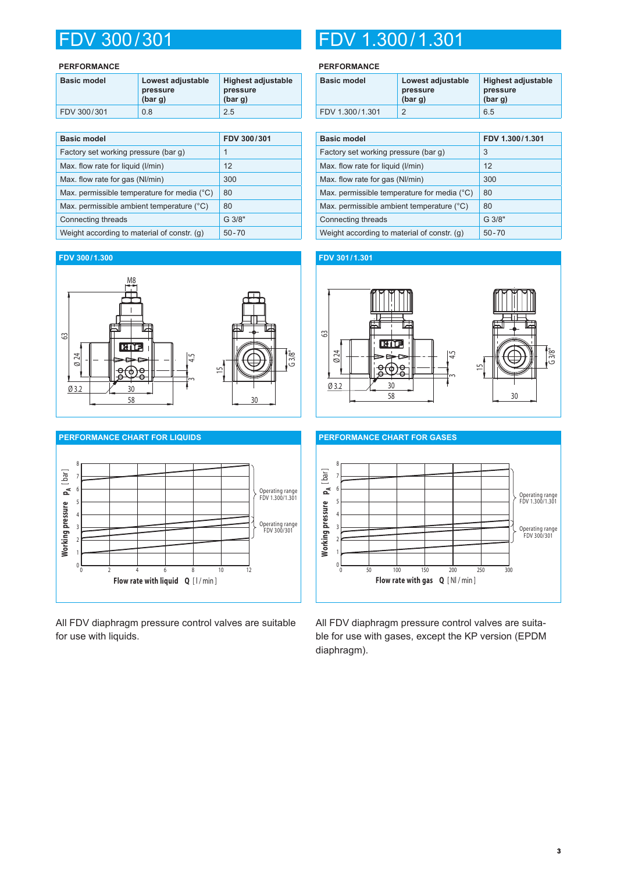#### **PERFORMANCE**

| <b>Basic model</b> | Lowest adjustable<br>pressure<br>(bar g) | <b>Highest adjustable</b><br>pressure<br>(bar g) |
|--------------------|------------------------------------------|--------------------------------------------------|
| FDV 300/301        | 0.8                                      | 2.5                                              |

| <b>Basic model</b>                                   | FDV 300/301 |
|------------------------------------------------------|-------------|
| Factory set working pressure (bar q)                 | 1           |
| Max. flow rate for liquid (I/min)                    | 12          |
| Max. flow rate for gas (NI/min)                      | 300         |
| Max. permissible temperature for media $(^{\circ}C)$ | 80          |
| Max. permissible ambient temperature (°C)            | 80          |
| Connecting threads                                   | G 3/8"      |
| Weight according to material of constr. (g)          | $50 - 70$   |

#### **FDV 300/1.300**





All FDV diaphragm pressure control valves are suitable for use with liquids.

## FDV 300/301 FDV 1.300/1.301

#### **PERFORMANCE**

| <b>Basic model</b> | Lowest adjustable<br>pressure<br>(bar g) | <b>Highest adjustable</b><br>pressure<br>(bar g) |
|--------------------|------------------------------------------|--------------------------------------------------|
| FDV 1.300/1.301    |                                          | 6.5                                              |

| <b>Basic model</b>                          | FDV 1.300/1.301 |
|---------------------------------------------|-----------------|
| Factory set working pressure (bar q)        | 3               |
| Max. flow rate for liquid (I/min)           | 12              |
| Max. flow rate for gas (NI/min)             | 300             |
| Max. permissible temperature for media (°C) | 80              |
| Max. permissible ambient temperature (°C)   | 80              |
| Connecting threads                          | G 3/8"          |
| Weight according to material of constr. (g) | $50 - 70$       |

### **FDV 301/1.301**





All FDV diaphragm pressure control valves are suitable for use with gases, except the KP version (EPDM diaphragm).